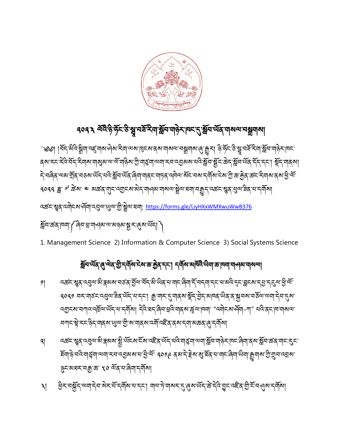- ཉུང་མཐར་བརྒྱ་ཆ་ ༥༠ ལོན་པ་ཞིག་དགོས། য়। খ্রিম বর্ষ্টুন অবাদীন মন্ত্রম রামান অবাদীন আরু আরু নাম মন্ত্রে বেই বিশ্বে বেই বিশ্বিম বেশ বর্ষমা
- ༢། འཚང་སྙན་འབུལ་མི་རྣམས་སི་ཡོངས་ངོས་འཛིན་ཡོད་པའི་གཙུག་ལག་སོབ་གཉེར་ཁང་ཞིག་ནས་སོབ་ཚན་གང་རུང་ ূষ্মাঞ্জ বন্তু নাগুমা নেনা হয় বেহী স্বাস্ত বুদ্ধে ১০১6 খন, দুৰ্গ প্ৰীয় ব্ৰাস্ত বুদ্ধা লুমা স্কুমা সম্ভিত্মবা
- ༡། འཚང་སྙན་འབུལ་མི་རྣམས་བཙན་བྱོལ་བོད་མི་ཡིན་པ་གང་ཞིག་དོ་བདག་དང་ཕ་མའི་དྭང་བླངས་དཔྱ་དངུལ་ཕི་ལོ་ ༢༠༢༡ བར་གཙང་འབུལ་ཟིན་ཡོད་པ་དང་། རྒྱ་གར་དུ་གནས་སོད་བྱེད་མཁན་ཡིན་ན་སྐྱབས་བཅོལ་ལག་དེབ་དུས་ বর্ত্রদ্বান্দ্রান্দ্র্য আর্দ্রান্দ্র্য নাম্বর্মিন। দুদ্রান্ত্রান্দ্র্য ব্রিমান্দ্রান্দ্র্য "ব্রাদ্রান্দ্র মাই রদানার্মনা বশ্চাষ্ট্ৰাম্চান্ত্ৰীমান্ত্ৰীৰ আৰু বিদ্যালয়ৰ বিদ্যালয়ৰ বিদ্যালয়ৰ বিদ্যালয়ৰ বিদ্যালয়ৰ বিদ্যালয়ৰ বিদ্যালয়

# র্ষ্ণন অঁৰ্ন্ ৰ্ত্ত ব্ৰিন্ শ্ৰী নৰ্মাৰ ইৰাজ দ্ৰুৰ দেশ নৰ্মাৰ সম্বলী সম্বলী সম্বলী সম্বলী সম্বলী

ষ্ট্ৰ্মন'ক্তব্'শিশা' ('ৰিন'শ্ৰ'শাপৰ 'শ'মন্তৰ'মু' ব্'ৰ্ষ'ৰ্থে'ন্') 1. Management Science 2) Information & Computer Science 3) Social Systems Science

<u>়</u>বর্ক্রন্থের্'ব্র্মীন মর্ম্পিশ্'ব্র্মুন্ম'খ্রুম'খ্রুম'ঘ্র্মা: <u><https://forms.gle/LiyHXxWMXwuWwB376></u>

༄༅། །བོད་མིའི་སྒྲིག་འཛུགས་ཤེས་རིག་ལས་ཁུངས་ནས་གསལ་བསྒྲགས་ཞུ་རྒྱུར། ཉི་ཧོང་ཅི་སྦཱ་བཟོ་རིག་སོབ་གཉེར་ཁང་ ব্ৰূষ্ণ হবাই বিদ্যালী বিদ্যালী বিদ্যালয়ৰ বিদ্যালয়ৰ বিদ্যালয়ৰ বিদ্যালয়ৰ বিদ্যালয়ৰ বিদ্যালয়ৰ বিদ্যালয়ৰ বি ন্বিব্ৰে অৰু শ্ৰম বুৰি বহুৰ অন্য মন্ত্ৰী বৰ্ত্ত বিৰা বিৰি মানী বিৰোক্ত বিৰোক্ত প্ৰদান বিৰোক্ত বিৰোক্ত বিৰোক্ত ৭০৭৭ ব্লু: ৺ ಹૅས་ ৎ མಹན་གུང་འགྱངས་མེད་གུཔལ་གསལ་སྲྲེལ་ঘག་བརྱྱུད་འಹོང་སྱུན་ཕུལ་རིན་པ་དགོས།

# ৭০৭২ ঐষ্টিপ্টর্দ্জিণ্ট্র্দ্রিশ্বর্শিইনার্ম্র্বনমার্ট্স্োদন্ত্র্যমূন্য অব্যবস্থা বিদ্রা

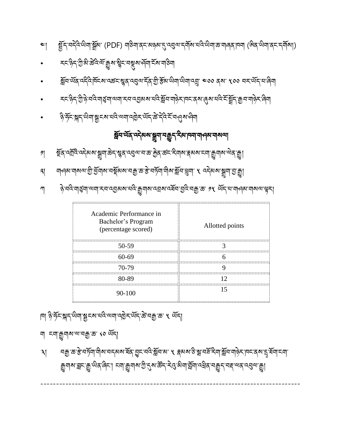༣། བརྒྱ་ཆ་རེ་བཏོག་གིས་བདམས་ཐོན་བྱུང་བའི་སོབ་མ་ ༥ རྣམས་ཅི་སྦ་བཟོ་རིག་སོབ་གཉེར་ཁང་ནས་དྲྭ་ཐོག་ངག་ হ্মুনাম'ক্লন'ক্লু'অর'ৰিন'। ন্নাক্সুনাম'গ্রী'ন্কুমস্কেন'ন্বে'ষ্মা'র্ম্লনা'ন্ব্রিষ'নক্লুন'ন্নন'ন্বেন'ক্সু।

-----------------------------------------------------------------------------------

- ঘা ন্মাক্সুমামান্মক্লুক্ল <০ অঁন
- ানা ৡ৳ৼৄৼৼ৻ৼ৻৸ৰ ক্ৰান্ত কৰি কৰি কৰি বিদিন্দ প্ৰদাসী

| Academic Performance in<br>Bachelor's Program<br>(percentage scored) | Allotted points |
|----------------------------------------------------------------------|-----------------|
| 50-59                                                                |                 |
| 60-69                                                                |                 |
| 70-79                                                                |                 |
| 80-89                                                                |                 |
| $90 - 100$                                                           |                 |

- া ঔর্ত্তর প্রান্ত প্রান্ত প্রান্ত প্রান্ত প্রান্ত প্রান্ত পূব বিংমা বিং মানি প্রান্ত প্রান্ত প্রান্ত প্রান্ত প
- ༢། གཤམ་གསལ་གྱི་ཕོགས་བསོམས་བརྒྱ་ཆ་རེ་བཏོག་གིས་སོབ་ཕྲུག་ ༥ འདེམས་སྒྲུག་བྱ་རྒྱུ།
- ১। ইন্দ্ৰিউণ্ড্ৰই ব্ৰম্ভ্ৰাম্পুৰ্ণ ক্ৰন্থ স্কুৰ্ণ ব্ৰম্ভ ক্ৰিন্ত ক্ৰন ইনাম ধ্ৰমম নেনা ক্ৰুনাম ব্ৰম্ভা

## য়ুঁব অঁব অনুষ্য মুন্স নক্কুন ইম'দিন নাপৰ বাৰ্থনা

- ৡ৾੶ঈॅ়८੶ৠ৴৻৻৸৶৾য়৾ৼৼ৶ৼ৻ড়৻৸৻৸ড়৸৻ড়ঢ়ৼ৻ড়৻৸ড়৻৸৻৸৸
- <u>རང་སིད་ऄॖ</u>ऀॱঌ৾ঽ་བའི་ག་རྱོག་ལག་རབ་འབྱམས་པའི་སྐྱོབ་ག་སེར་།བང་ནས་ནུས་པའི་རོ་སྱོད་རྱུབ་གའེར་འིག
- ষ্ট্র্য অঁক্স ব্রেই বিদিয়া বরু স্থেক্স ব্রেন্স ইন্স গ্রী ষ্ট্রস জানা জানা বরী কাণ্ড থিমা ১০০ বৰ অঁদ বা ৰেনা
- རང་་ནིད་གྱི་མེ་མི་འོ་ རྒྱུས་སྲིང་བསྲུས་པོག་རོས་གིིག
- ༤། སོད་བདེའི་ཡིག་སྒྲོམ་ (PDF) གཅིག་ནང་མཉམ་དུ་འབུལ་དགོས་པའི་ཡིག་ཆ་གཞན་ཁག (ཨིན་ཡིག་ནང་དགོས།)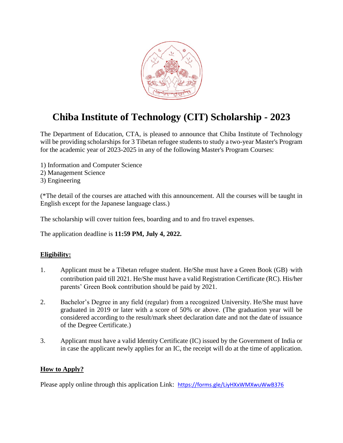

## **Chiba Institute of Technology (CIT) Scholarship - 2023**

The Department of Education, CTA, is pleased to announce that Chiba Institute of Technology will be providing scholarships for 3 Tibetan refugee students to study a two-year Master's Program for the academic year of 2023-2025 in any of the following Master's Program Courses:

- 1) Information and Computer Science
- 2) Management Science
- 3) Engineering

(\*The detail of the courses are attached with this announcement. All the courses will be taught in English except for the Japanese language class.)

The scholarship will cover tuition fees, boarding and to and fro travel expenses.

The application deadline is **11:59 PM, July 4, 2022.**

## **Eligibility:**

- 1. Applicant must be a Tibetan refugee student. He/She must have a Green Book (GB) ་with contribution paid till 2021. He/She must have a valid Registration Certificate (RC). His/her parents' Green Book contribution should be paid by 2021.
- 2. Bachelor's Degree in any field (regular) from a recognized University. He/She must have graduated in 2019 or later with a score of 50% or above. (The graduation year will be considered according to the result/mark sheet declaration date and not the date of issuance of the Degree Certificate.)
- 3. Applicant must have a valid Identity Certificate (IC) issued by the Government of India or in case the applicant newly applies for an IC, the receipt will do at the time of application.

## **How to Apply?**

Please apply online through this application Link: <https://forms.gle/LiyHXxWMXwuWwB376>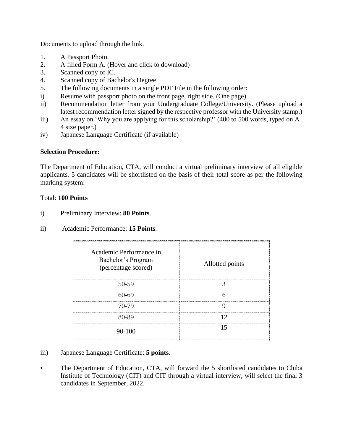Documents to upload through the link.

- 1. A Passport Photo.
- 2. A filled  $\underline{Form A}$ . (Hover and click to download)
- 3. Scanned copy of IC.
- 4. Scanned copy of Bachelor's Degree
- 5. The following documents in a single PDF File in the following order:
- i) Resume with passport photo on the front page, right side. (One page)
- ii) Recommendation letter from your Undergraduate College/University. (Please upload a latest recommendation letter signed by the respective professor with the University stamp.)
- iii) An essay on 'Why you are applying for this scholarship?' (400 to 500 words, typed on A 4 size paper.)
- iv) Japanese Language Certificate (if available)

## **Selection Procedure:**

The Department of Education, CTA, will conduct a virtual preliminary interview of all eligible applicants. 5 candidates will be shortlisted on the basis of their total score as per the following marking system:

## Total: **100 Points**

- i) Preliminary Interview: **80 Points**.
- ii) Academic Performance: **15 Points**.

| Academic Performance in<br>Bachelor's Program<br>(percentage scored) | Allotted points |
|----------------------------------------------------------------------|-----------------|
| 50-59                                                                |                 |
| 60-60                                                                |                 |
| 70-79                                                                |                 |
| 80-89                                                                |                 |
| $90 - 100$                                                           |                 |

- iii) Japanese Language Certificate: **5 points**.
- The Department of Education, CTA, will forward the 5 shortlisted candidates to Chiba Institute of Technology (CIT) and CIT through a virtual interview, will select the final 3 candidates in September, 2022.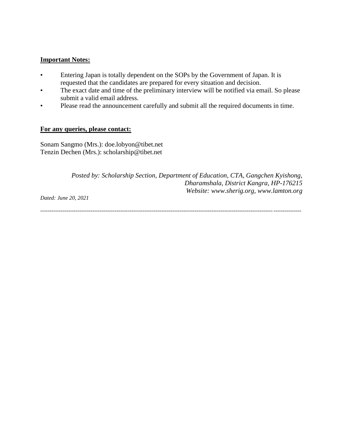## **Important Notes:**

- Entering Japan is totally dependent on the SOPs by the Government of Japan. It is requested that the candidates are prepared for every situation and decision.
- The exact date and time of the preliminary interview will be notified via email. So please submit a valid email address.
- Please read the announcement carefully and submit all the required documents in time.

### **For any queries, please contact:**

Sonam Sangmo (Mrs.): doe.lobyon@tibet.net Tenzin Dechen (Mrs.): scholarship@tibet.net

> *Posted by: Scholarship Section, Department of Education, CTA, Gangchen Kyishong, Dharamshala, District Kangra, HP-176215 Website: www.sherig.org, www.lamton.org*

*Dated: June 20, 2021*

*--------------------------------------------------------------------------------------------------------------------------------------------*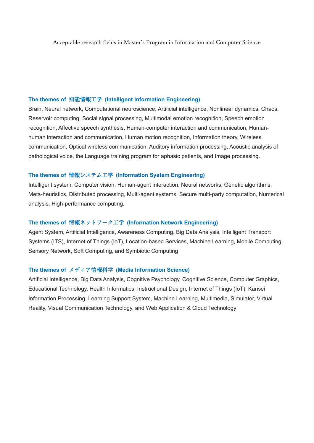Acceptable research fields in Master's Program in Information and Computer Science

#### **The themes of** 知能情報工学 **(Intelligent Information Engineering)**

Brain, Neural network, Computational neuroscience, Artificial intelligence, Nonlinear dynamics, Chaos, Reservoir computing, Social signal processing, Multimodal emotion recognition, Speech emotion recognition, Affective speech synthesis, Human-computer interaction and communication, Humanhuman interaction and communication, Human motion recognition, Information theory, Wireless communication, Optical wireless communication, Auditory information processing, Acoustic analysis of pathological voice, the Language training program for aphasic patients, and Image processing.

#### **The themes of** 情報システム工学 **(Information System Engineering)**

Intelligent system, Computer vision, Human-agent interaction, Neural networks, Genetic algorithms, Meta-heuristics, Distributed processing, Multi-agent systems, Secure multi-party computation, Numerical analysis, High-performance computing.

#### **The themes of** 情報ネットワーク工学 **(Information Network Engineering)**

Agent System, Artificial Intelligence, Awareness Computing, Big Data Analysis, Intelligent Transport Systems (ITS), Internet of Things (IoT), Location-based Services, Machine Learning, Mobile Computing, Sensory Network, Soft Computing, and Symbiotic Computing

## **The themes of** メディア情報科学 **(Media Information Science)**

Artificial Intelligence, Big Data Analysis, Cognitive Psychology, Cognitive Science, Computer Graphics, Educational Technology, Health Informatics, Instructional Design, Internet of Things (IoT), Kansei Information Processing, Learning Support System, Machine Learning, Multimedia, Simulator, Virtual Reality, Visual Communication Technology, and Web Application & Cloud Technology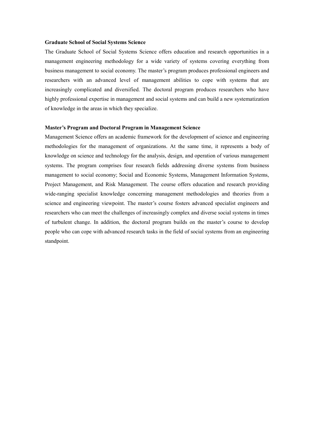#### **Graduate School of Social Systems Science**

The Graduate School of Social Systems Science offers education and research opportunities in a management engineering methodology for a wide variety of systems covering everything from business management to social economy. The master's program produces professional engineers and researchers with an advanced level of management abilities to cope with systems that are increasingly complicated and diversified. The doctoral program produces researchers who have highly professional expertise in management and social systems and can build a new systematization of knowledge in the areas in which they specialize.

#### **Master's Program and Doctoral Program in Management Science**

Management Science offers an academic framework for the development of science and engineering methodologies for the management of organizations. At the same time, it represents a body of knowledge on science and technology for the analysis, design, and operation of various management systems. The program comprises four research fields addressing diverse systems from business management to social economy; Social and Economic Systems, Management Information Systems, Project Management, and Risk Management. The course offers education and research providing wide-ranging specialist knowledge concerning management methodologies and theories from a science and engineering viewpoint. The master's course fosters advanced specialist engineers and researchers who can meet the challenges of increasingly complex and diverse social systems in times of turbulent change. In addition, the doctoral program builds on the master's course to develop people who can cope with advanced research tasks in the field of social systems from an engineering standpoint.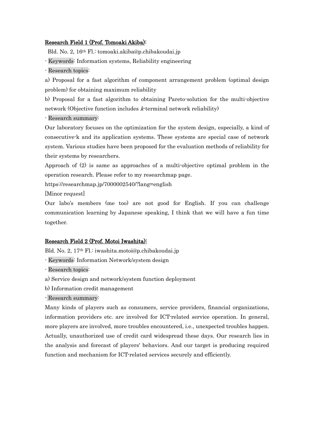#### Research Field 1 (Prof. Tomoaki Akiba):

Bld. No. 2, 16th Fl.: tomoaki.akiba@p.chibakoudai.jp

- Keywords: Information systems, Reliability engineering
- Research topics:

a) Proposal for a fast algorithm of component arrangement problem (optimal design problem) for obtaining maximum reliability

b) Proposal for a fast algorithm to obtaining Pareto-solution for the multi-objective network (Objective function includes  $k$ -terminal network reliability)

#### - Research summary:

Our laboratory focuses on the optimization for the system design, especially, a kind of consecutive-k and its application systems. These systems are special case of network system. Various studies have been proposed for the evaluation methods of reliability for their systems by researchers.

Approach of (2) is same as approaches of a multi-objective optimal problem in the operation research. Please refer to my researchmap page.

https://researchmap.jp/7000002540/?lang=english

[Minor request]

Our labo's members (me too) are not good for English. If you can challenge communication learning by Japanese speaking, I think that we will have a fun time together.

## Research Field 2 (Prof. Motoi Iwashita):

Bld. No. 2, 17th Fl.: iwashita.motoi@p.chibakoudai.jp

- Keywords: Information Network/system design

- Research topics:

- a) Service design and network/system function deployment
- b) Information credit management
- Research summary:

Many kinds of players such as consumers, service providers, financial organizations, information providers etc. are involved for ICT-related service operation. In general, more players are involved, more troubles encountered, i.e., unexpected troubles happen. Actually, unauthorized use of credit card widespread these days. Our research lies in the analysis and forecast of players' behaviors. And our target is producing required function and mechanism for ICT-related services securely and efficiently.